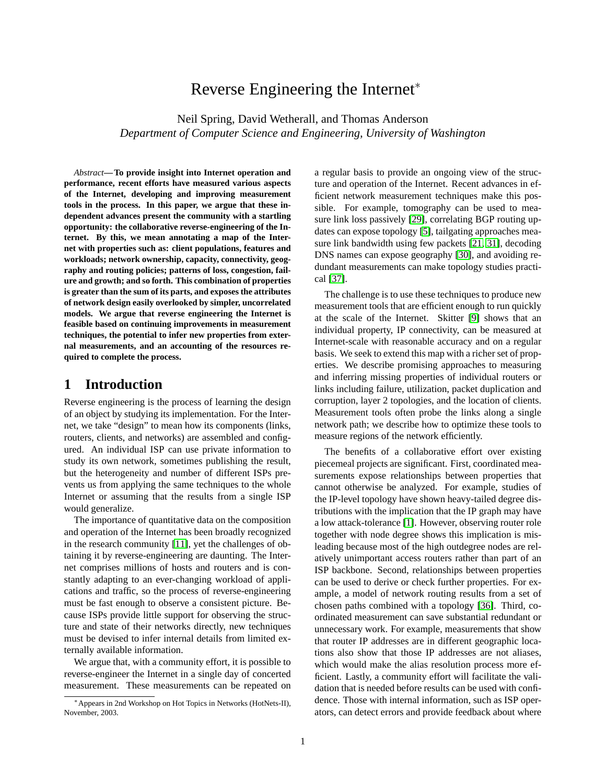# Reverse Engineering the Internet<sup>∗</sup>

Neil Spring, David Wetherall, and Thomas Anderson *Department of Computer Science and Engineering, University of Washington*

*Abstract***— To provide insight into Internet operation and performance, recent efforts have measured various aspects of the Internet, developing and improving measurement tools in the process. In this paper, we argue that these independent advances present the community with a startling opportunity: the collaborative reverse-engineering of the Internet. By this, we mean annotating a map of the Internet with properties such as: client populations, features and workloads; network ownership, capacity, connectivity, geography and routing policies; patterns of loss, congestion, failure and growth; and so forth. This combination of properties is greater than the sum of its parts, and exposes the attributes of network design easily overlooked by simpler, uncorrelated models. We argue that reverse engineering the Internet is feasible based on continuing improvements in measurement techniques, the potential to infer new properties from external measurements, and an accounting of the resources required to complete the process.**

## **1 Introduction**

Reverse engineering is the process of learning the design of an object by studying its implementation. For the Internet, we take "design" to mean how its components (links, routers, clients, and networks) are assembled and configured. An individual ISP can use private information to study its own network, sometimes publishing the result, but the heterogeneity and number of different ISPs prevents us from applying the same techniques to the whole Internet or assuming that the results from a single ISP would generalize.

The importance of quantitative data on the composition and operation of the Internet has been broadly recognized in the research community [\[11\]](#page-5-0), yet the challenges of obtaining it by reverse-engineering are daunting. The Internet comprises millions of hosts and routers and is constantly adapting to an ever-changing workload of applications and traffic, so the process of reverse-engineering must be fast enough to observe a consistent picture. Because ISPs provide little support for observing the structure and state of their networks directly, new techniques must be devised to infer internal details from limited externally available information.

We argue that, with a community effort, it is possible to reverse-engineer the Internet in a single day of concerted measurement. These measurements can be repeated on a regular basis to provide an ongoing view of the structure and operation of the Internet. Recent advances in efficient network measurement techniques make this possible. For example, tomography can be used to measure link loss passively [\[29\]](#page-5-1), correlating BGP routing updates can expose topology [\[5\]](#page-5-2), tailgating approaches measure link bandwidth using few packets [\[21,](#page-5-3) [31\]](#page-5-4), decoding DNS names can expose geography [\[30\]](#page-5-5), and avoiding redundant measurements can make topology studies practical [\[37\]](#page-5-6).

The challenge is to use these techniques to produce new measurement tools that are efficient enough to run quickly at the scale of the Internet. Skitter [\[9\]](#page-5-7) shows that an individual property, IP connectivity, can be measured at Internet-scale with reasonable accuracy and on a regular basis. We seek to extend this map with a richer set of properties. We describe promising approaches to measuring and inferring missing properties of individual routers or links including failure, utilization, packet duplication and corruption, layer 2 topologies, and the location of clients. Measurement tools often probe the links along a single network path; we describe how to optimize these tools to measure regions of the network efficiently.

The benefits of a collaborative effort over existing piecemeal projects are significant. First, coordinated measurements expose relationships between properties that cannot otherwise be analyzed. For example, studies of the IP-level topology have shown heavy-tailed degree distributions with the implication that the IP graph may have a low attack-tolerance [\[1\]](#page-5-8). However, observing router role together with node degree shows this implication is misleading because most of the high outdegree nodes are relatively unimportant access routers rather than part of an ISP backbone. Second, relationships between properties can be used to derive or check further properties. For example, a model of network routing results from a set of chosen paths combined with a topology [\[36\]](#page-5-9). Third, coordinated measurement can save substantial redundant or unnecessary work. For example, measurements that show that router IP addresses are in different geographic locations also show that those IP addresses are not aliases, which would make the alias resolution process more efficient. Lastly, a community effort will facilitate the validation that is needed before results can be used with confidence. Those with internal information, such as ISP operators, can detect errors and provide feedback about where

<sup>∗</sup>Appears in 2nd Workshop on Hot Topics in Networks (HotNets-II), November, 2003.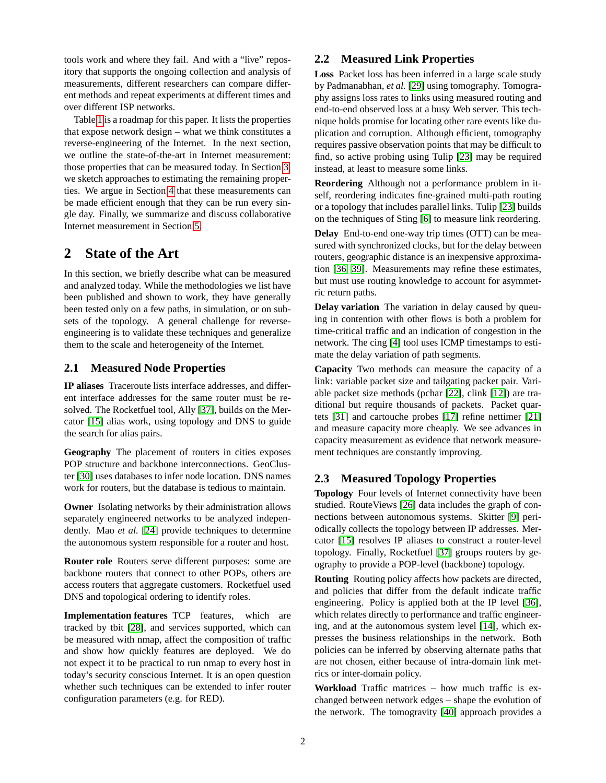tools work and where they fail. And with a "live" repository that supports the ongoing collection and analysis of measurements, different researchers can compare different methods and repeat experiments at different times and over different ISP networks.

Table [1](#page-2-0) is a roadmap for this paper. It lists the properties that expose network design – what we think constitutes a reverse-engineering of the Internet. In the next section, we outline the state-of-the-art in Internet measurement: those properties that can be measured today. In Section [3,](#page-2-1) we sketch approaches to estimating the remaining properties. We argue in Section [4](#page-4-0) that these measurements can be made efficient enough that they can be run every single day. Finally, we summarize and discuss collaborative Internet measurement in Section [5.](#page-4-1)

# **2 State of the Art**

In this section, we briefly describe what can be measured and analyzed today. While the methodologies we list have been published and shown to work, they have generally been tested only on a few paths, in simulation, or on subsets of the topology. A general challenge for reverseengineering is to validate these techniques and generalize them to the scale and heterogeneity of the Internet.

#### **2.1 Measured Node Properties**

**IP aliases** Traceroute lists interface addresses, and different interface addresses for the same router must be resolved. The Rocketfuel tool, Ally [\[37\]](#page-5-6), builds on the Mercator [\[15\]](#page-5-10) alias work, using topology and DNS to guide the search for alias pairs.

**Geography** The placement of routers in cities exposes POP structure and backbone interconnections. GeoCluster [\[30\]](#page-5-5) uses databases to infer node location. DNS names work for routers, but the database is tedious to maintain.

**Owner** Isolating networks by their administration allows separately engineered networks to be analyzed independently. Mao *et al.* [\[24\]](#page-5-11) provide techniques to determine the autonomous system responsible for a router and host.

**Router role** Routers serve different purposes: some are backbone routers that connect to other POPs, others are access routers that aggregate customers. Rocketfuel used DNS and topological ordering to identify roles.

**Implementation features** TCP features, which are tracked by tbit [\[28\]](#page-5-12), and services supported, which can be measured with nmap, affect the composition of traffic and show how quickly features are deployed. We do not expect it to be practical to run nmap to every host in today's security conscious Internet. It is an open question whether such techniques can be extended to infer router configuration parameters (e.g. for RED).

## **2.2 Measured Link Properties**

**Loss** Packet loss has been inferred in a large scale study by Padmanabhan, *et al.* [\[29\]](#page-5-1) using tomography. Tomography assigns loss rates to links using measured routing and end-to-end observed loss at a busy Web server. This technique holds promise for locating other rare events like duplication and corruption. Although efficient, tomography requires passive observation points that may be difficult to find, so active probing using Tulip [\[23\]](#page-5-13) may be required instead, at least to measure some links.

**Reordering** Although not a performance problem in itself, reordering indicates fine-grained multi-path routing or a topology that includes parallel links. Tulip [\[23\]](#page-5-13) builds on the techniques of Sting [\[6\]](#page-5-14) to measure link reordering.

**Delay** End-to-end one-way trip times (OTT) can be measured with synchronized clocks, but for the delay between routers, geographic distance is an inexpensive approximation [\[36,](#page-5-9) [39\]](#page-5-15). Measurements may refine these estimates, but must use routing knowledge to account for asymmetric return paths.

**Delay variation** The variation in delay caused by queuing in contention with other flows is both a problem for time-critical traffic and an indication of congestion in the network. The cing [\[4\]](#page-5-16) tool uses ICMP timestamps to estimate the delay variation of path segments.

**Capacity** Two methods can measure the capacity of a link: variable packet size and tailgating packet pair. Variable packet size methods (pchar [\[22\]](#page-5-17), clink [\[12\]](#page-5-18)) are traditional but require thousands of packets. Packet quartets [\[31\]](#page-5-4) and cartouche probes [\[17\]](#page-5-19) refine nettimer [\[21\]](#page-5-3) and measure capacity more cheaply. We see advances in capacity measurement as evidence that network measurement techniques are constantly improving.

## **2.3 Measured Topology Properties**

**Topology** Four levels of Internet connectivity have been studied. RouteViews [\[26\]](#page-5-20) data includes the graph of connections between autonomous systems. Skitter [\[9\]](#page-5-7) periodically collects the topology between IP addresses. Mercator [\[15\]](#page-5-10) resolves IP aliases to construct a router-level topology. Finally, Rocketfuel [\[37\]](#page-5-6) groups routers by geography to provide a POP-level (backbone) topology.

**Routing** Routing policy affects how packets are directed, and policies that differ from the default indicate traffic engineering. Policy is applied both at the IP level [\[36\]](#page-5-9), which relates directly to performance and traffic engineering, and at the autonomous system level [\[14\]](#page-5-21), which expresses the business relationships in the network. Both policies can be inferred by observing alternate paths that are not chosen, either because of intra-domain link metrics or inter-domain policy.

**Workload** Traffic matrices – how much traffic is exchanged between network edges – shape the evolution of the network. The tomogravity [\[40\]](#page-5-22) approach provides a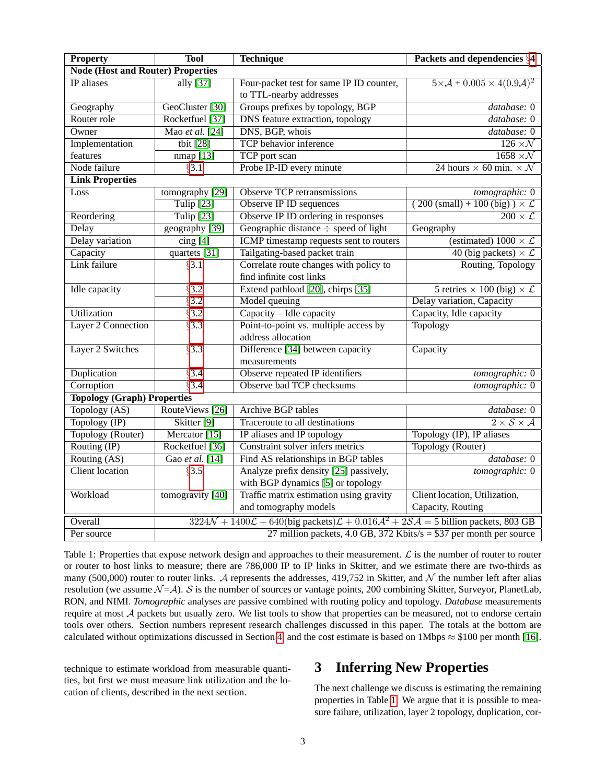| <b>Property</b>                          | <b>Tool</b>                                                                                                                                      | <b>Technique</b>                                                            | Packets and dependencies §4                                    |
|------------------------------------------|--------------------------------------------------------------------------------------------------------------------------------------------------|-----------------------------------------------------------------------------|----------------------------------------------------------------|
| <b>Node (Host and Router) Properties</b> |                                                                                                                                                  |                                                                             |                                                                |
| IP aliases                               | ally $\overline{[37]}$                                                                                                                           | Four-packet test for same IP ID counter,<br>to TTL-nearby addresses         | $5 \times \mathcal{A} + 0.005 \times 4(0.9\mathcal{A})^2$      |
| Geography                                | GeoCluster [30]                                                                                                                                  | Groups prefixes by topology, BGP                                            | database: 0                                                    |
| Router role                              | Rocketfuel [37]                                                                                                                                  | <b>DNS</b> feature extraction, topology                                     | database: 0                                                    |
| Owner                                    | Mao et al. [24]                                                                                                                                  | DNS, BGP, whois                                                             | database: 0                                                    |
| Implementation                           | tbit $[28]$                                                                                                                                      | TCP behavior inference                                                      | $126 \times N$                                                 |
| features                                 | nmap [13]                                                                                                                                        | TCP port scan                                                               | $1658 \times N$                                                |
| Node failure                             | §3.1                                                                                                                                             | Probe IP-ID every minute                                                    | 24 hours $\times$ 60 min. $\times$ N                           |
| <b>Link Properties</b>                   |                                                                                                                                                  |                                                                             |                                                                |
| Loss                                     | tomography [29]                                                                                                                                  | <b>Observe TCP retransmissions</b>                                          | tomographic: 0                                                 |
|                                          | Tulip $[23]$                                                                                                                                     | Observe IP ID sequences                                                     | $(200 \text{ (small)} + 100 \text{ (big)}) \times \mathcal{L}$ |
| Reordering                               | Tulip $[23]$                                                                                                                                     | Observe IP ID ordering in responses                                         | $\overline{200 \times \mathcal{L}}$                            |
| Delay                                    | geography [39]                                                                                                                                   | Geographic distance $\div$ speed of light                                   | Geography                                                      |
| Delay variation                          | $\overline{\text{cing }[4]}$                                                                                                                     | <b>ICMP</b> timestamp requests sent to routers                              | (estimated) $1000 \times \mathcal{L}$                          |
| Capacity                                 | quartets $[31]$                                                                                                                                  | Tailgating-based packet train                                               | 40 (big packets) $\times \mathcal{L}$                          |
| Link failure                             | §3.1                                                                                                                                             | Correlate route changes with policy to<br>find infinite cost links          | Routing, Topology                                              |
| Idle capacity                            | $\sqrt{$3.2}$                                                                                                                                    | Extend pathload [20], chirps [35]                                           | 5 retries $\times$ 100 (big) $\times \mathcal{L}$              |
|                                          | §3.2                                                                                                                                             | Model queuing                                                               | Delay variation, Capacity                                      |
| Utilization                              | $\sqrt{$3.2}$                                                                                                                                    | Capacity - Idle capacity                                                    | Capacity, Idle capacity                                        |
| <b>Layer 2 Connection</b>                | §3.3                                                                                                                                             | Point-to-point vs. multiple access by<br>address allocation                 | <b>Topology</b>                                                |
| Layer 2 Switches                         | $\sqrt{$3.3}$                                                                                                                                    | Difference [34] between capacity<br>measurements                            | Capacity                                                       |
| Duplication                              | §3.4                                                                                                                                             | Observe repeated IP identifiers                                             | tomographic: 0                                                 |
| Corruption                               | $\sqrt{3.4}$                                                                                                                                     | Observe bad TCP checksums                                                   | tomographic: 0                                                 |
| <b>Topology (Graph) Properties</b>       |                                                                                                                                                  |                                                                             |                                                                |
| Topology (AS)                            | RouteViews [26]                                                                                                                                  | <b>Archive BGP tables</b>                                                   | database: 0                                                    |
| Topology $(\mathbb{IP})$                 | Skitter <sup>[9]</sup>                                                                                                                           | Traceroute to all destinations                                              | $\overline{2 \times S \times A}$                               |
| Topology (Router)                        | Mercator $[15]$                                                                                                                                  | IP aliases and IP topology                                                  | Topology (IP), IP aliases                                      |
| Routing $(\mathbb{IP})$                  | Rocketfuel [36]                                                                                                                                  | Constraint solver infers metrics                                            | Topology (Router)                                              |
| Routing $(\overline{AS})$                | Gao et al. [14]                                                                                                                                  | Find AS relationships in BGP tables                                         | database: 0                                                    |
| <b>Client</b> location                   | §3.5                                                                                                                                             | Analyze prefix density [25] passively,<br>with BGP dynamics [5] or topology | tomographic: 0                                                 |
| Workload                                 | tomogravity [40]                                                                                                                                 | Traffic matrix estimation using gravity                                     | Client location, Utilization,                                  |
|                                          |                                                                                                                                                  | and tomography models                                                       | Capacity, Routing                                              |
| Overall                                  | $3224\mathcal{N} + 1400\mathcal{L} + 640$ (big packets) $\mathcal{L} + 0.016\mathcal{A}^2 + 2\mathcal{S}\mathcal{A} = 5$ billion packets, 803 GB |                                                                             |                                                                |
| Per source                               | 27 million packets, 4.0 GB, 372 Kbits/s = $$37$ per month per source                                                                             |                                                                             |                                                                |

<span id="page-2-0"></span>Table 1: Properties that expose network design and approaches to their measurement.  $\mathcal L$  is the number of router to router or router to host links to measure; there are 786,000 IP to IP links in Skitter, and we estimate there are two-thirds as many (500,000) router to router links. A represents the addresses, 419,752 in Skitter, and  $\mathcal N$  the number left after alias resolution (we assume  $\mathcal{N} = \mathcal{A}$ ). S is the number of sources or vantage points, 200 combining Skitter, Surveyor, PlanetLab, RON, and NIMI. *Tomographic* analyses are passive combined with routing policy and topology. *Database* measurements require at most  $A$  packets but usually zero. We list tools to show that properties can be measured, not to endorse certain tools over others. Section numbers represent research challenges discussed in this paper. The totals at the bottom are calculated without optimizations discussed in Section [4,](#page-4-0) and the cost estimate is based on 1Mbps  $\approx$  \$100 per month [\[16\]](#page-5-28).

technique to estimate workload from measurable quantities, but first we must measure link utilization and the location of clients, described in the next section.

# <span id="page-2-1"></span>**3 Inferring New Properties**

The next challenge we discuss is estimating the remaining properties in Table [1.](#page-2-0) We argue that it is possible to measure failure, utilization, layer 2 topology, duplication, cor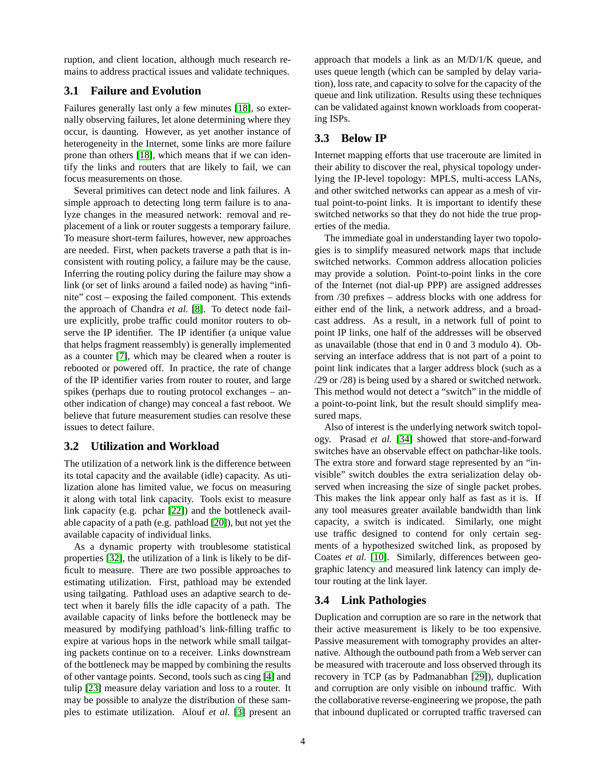ruption, and client location, although much research remains to address practical issues and validate techniques.

#### <span id="page-3-0"></span>**3.1 Failure and Evolution**

Failures generally last only a few minutes [\[18\]](#page-5-29), so externally observing failures, let alone determining where they occur, is daunting. However, as yet another instance of heterogeneity in the Internet, some links are more failure prone than others [\[18\]](#page-5-29), which means that if we can identify the links and routers that are likely to fail, we can focus measurements on those.

Several primitives can detect node and link failures. A simple approach to detecting long term failure is to analyze changes in the measured network: removal and replacement of a link or router suggests a temporary failure. To measure short-term failures, however, new approaches are needed. First, when packets traverse a path that is inconsistent with routing policy, a failure may be the cause. Inferring the routing policy during the failure may show a link (or set of links around a failed node) as having "infinite" cost – exposing the failed component. This extends the approach of Chandra *et al.* [\[8\]](#page-5-30). To detect node failure explicitly, probe traffic could monitor routers to observe the IP identifier. The IP identifier (a unique value that helps fragment reassembly) is generally implemented as a counter [\[7\]](#page-5-31), which may be cleared when a router is rebooted or powered off. In practice, the rate of change of the IP identifier varies from router to router, and large spikes (perhaps due to routing protocol exchanges – another indication of change) may conceal a fast reboot. We believe that future measurement studies can resolve these issues to detect failure.

#### <span id="page-3-1"></span>**3.2 Utilization and Workload**

The utilization of a network link is the difference between its total capacity and the available (idle) capacity. As utilization alone has limited value, we focus on measuring it along with total link capacity. Tools exist to measure link capacity (e.g. pchar [\[22\]](#page-5-17)) and the bottleneck available capacity of a path (e.g. pathload [\[20\]](#page-5-24)), but not yet the available capacity of individual links.

As a dynamic property with troublesome statistical properties [\[32\]](#page-5-32), the utilization of a link is likely to be difficult to measure. There are two possible approaches to estimating utilization. First, pathload may be extended using tailgating. Pathload uses an adaptive search to detect when it barely fills the idle capacity of a path. The available capacity of links before the bottleneck may be measured by modifying pathload's link-filling traffic to expire at various hops in the network while small tailgating packets continue on to a receiver. Links downstream of the bottleneck may be mapped by combining the results of other vantage points. Second, tools such as cing [\[4\]](#page-5-16) and tulip [\[23\]](#page-5-13) measure delay variation and loss to a router. It may be possible to analyze the distribution of these samples to estimate utilization. Alouf *et al.* [\[3\]](#page-5-33) present an

approach that models a link as an M/D/1/K queue, and uses queue length (which can be sampled by delay variation), loss rate, and capacity to solve for the capacity of the queue and link utilization. Results using these techniques can be validated against known workloads from cooperating ISPs.

### <span id="page-3-2"></span>**3.3 Below IP**

Internet mapping efforts that use traceroute are limited in their ability to discover the real, physical topology underlying the IP-level topology: MPLS, multi-access LANs, and other switched networks can appear as a mesh of virtual point-to-point links. It is important to identify these switched networks so that they do not hide the true properties of the media.

The immediate goal in understanding layer two topologies is to simplify measured network maps that include switched networks. Common address allocation policies may provide a solution. Point-to-point links in the core of the Internet (not dial-up PPP) are assigned addresses from /30 prefixes – address blocks with one address for either end of the link, a network address, and a broadcast address. As a result, in a network full of point to point IP links, one half of the addresses will be observed as unavailable (those that end in 0 and 3 modulo 4). Observing an interface address that is not part of a point to point link indicates that a larger address block (such as a /29 or /28) is being used by a shared or switched network. This method would not detect a "switch" in the middle of a point-to-point link, but the result should simplify measured maps.

Also of interest is the underlying network switch topology. Prasad *et al.* [\[34\]](#page-5-26) showed that store-and-forward switches have an observable effect on pathchar-like tools. The extra store and forward stage represented by an "invisible" switch doubles the extra serialization delay observed when increasing the size of single packet probes. This makes the link appear only half as fast as it is. If any tool measures greater available bandwidth than link capacity, a switch is indicated. Similarly, one might use traffic designed to contend for only certain segments of a hypothesized switched link, as proposed by Coates *et al.* [\[10\]](#page-5-34). Similarly, differences between geographic latency and measured link latency can imply detour routing at the link layer.

#### <span id="page-3-3"></span>**3.4 Link Pathologies**

Duplication and corruption are so rare in the network that their active measurement is likely to be too expensive. Passive measurement with tomography provides an alternative. Although the outbound path from a Web server can be measured with traceroute and loss observed through its recovery in TCP (as by Padmanabhan [\[29\]](#page-5-1)), duplication and corruption are only visible on inbound traffic. With the collaborative reverse-engineering we propose, the path that inbound duplicated or corrupted traffic traversed can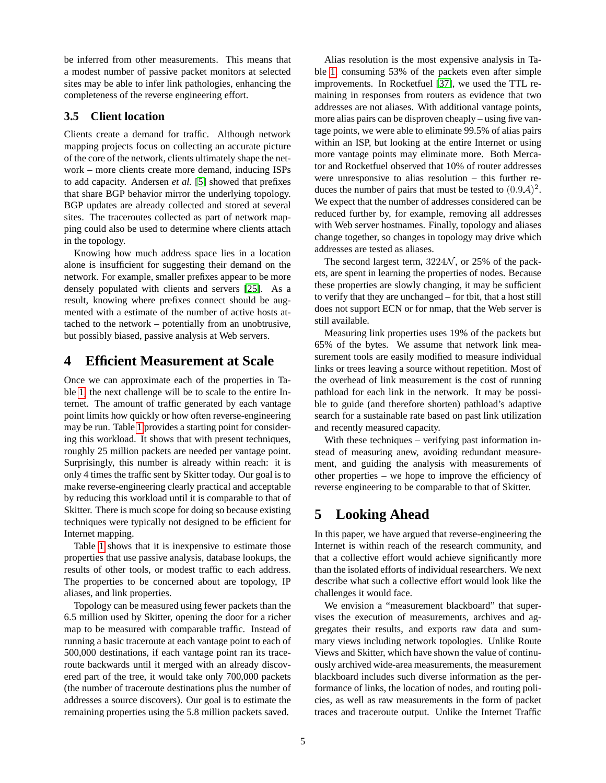be inferred from other measurements. This means that a modest number of passive packet monitors at selected sites may be able to infer link pathologies, enhancing the completeness of the reverse engineering effort.

#### <span id="page-4-2"></span>**3.5 Client location**

Clients create a demand for traffic. Although network mapping projects focus on collecting an accurate picture of the core of the network, clients ultimately shape the network – more clients create more demand, inducing ISPs to add capacity. Andersen *et al.* [\[5\]](#page-5-2) showed that prefixes that share BGP behavior mirror the underlying topology. BGP updates are already collected and stored at several sites. The traceroutes collected as part of network mapping could also be used to determine where clients attach in the topology.

Knowing how much address space lies in a location alone is insufficient for suggesting their demand on the network. For example, smaller prefixes appear to be more densely populated with clients and servers [\[25\]](#page-5-27). As a result, knowing where prefixes connect should be augmented with a estimate of the number of active hosts attached to the network – potentially from an unobtrusive, but possibly biased, passive analysis at Web servers.

## <span id="page-4-0"></span>**4 Efficient Measurement at Scale**

Once we can approximate each of the properties in Table [1,](#page-2-0) the next challenge will be to scale to the entire Internet. The amount of traffic generated by each vantage point limits how quickly or how often reverse-engineering may be run. Table [1](#page-2-0) provides a starting point for considering this workload. It shows that with present techniques, roughly 25 million packets are needed per vantage point. Surprisingly, this number is already within reach: it is only 4 times the traffic sent by Skitter today. Our goal is to make reverse-engineering clearly practical and acceptable by reducing this workload until it is comparable to that of Skitter. There is much scope for doing so because existing techniques were typically not designed to be efficient for Internet mapping.

Table [1](#page-2-0) shows that it is inexpensive to estimate those properties that use passive analysis, database lookups, the results of other tools, or modest traffic to each address. The properties to be concerned about are topology, IP aliases, and link properties.

Topology can be measured using fewer packets than the 6.5 million used by Skitter, opening the door for a richer map to be measured with comparable traffic. Instead of running a basic traceroute at each vantage point to each of 500,000 destinations, if each vantage point ran its traceroute backwards until it merged with an already discovered part of the tree, it would take only 700,000 packets (the number of traceroute destinations plus the number of addresses a source discovers). Our goal is to estimate the remaining properties using the 5.8 million packets saved.

Alias resolution is the most expensive analysis in Table [1,](#page-2-0) consuming 53% of the packets even after simple improvements. In Rocketfuel [\[37\]](#page-5-6), we used the TTL remaining in responses from routers as evidence that two addresses are not aliases. With additional vantage points, more alias pairs can be disproven cheaply – using five vantage points, we were able to eliminate 99.5% of alias pairs within an ISP, but looking at the entire Internet or using more vantage points may eliminate more. Both Mercator and Rocketfuel observed that 10% of router addresses were unresponsive to alias resolution – this further reduces the number of pairs that must be tested to  $(0.9\mathcal{A})^2$ . We expect that the number of addresses considered can be reduced further by, for example, removing all addresses with Web server hostnames. Finally, topology and aliases change together, so changes in topology may drive which addresses are tested as aliases.

The second largest term,  $3224\mathcal{N}$ , or 25% of the packets, are spent in learning the properties of nodes. Because these properties are slowly changing, it may be sufficient to verify that they are unchanged – for tbit, that a host still does not support ECN or for nmap, that the Web server is still available.

Measuring link properties uses 19% of the packets but 65% of the bytes. We assume that network link measurement tools are easily modified to measure individual links or trees leaving a source without repetition. Most of the overhead of link measurement is the cost of running pathload for each link in the network. It may be possible to guide (and therefore shorten) pathload's adaptive search for a sustainable rate based on past link utilization and recently measured capacity.

With these techniques – verifying past information instead of measuring anew, avoiding redundant measurement, and guiding the analysis with measurements of other properties – we hope to improve the efficiency of reverse engineering to be comparable to that of Skitter.

## <span id="page-4-1"></span>**5 Looking Ahead**

In this paper, we have argued that reverse-engineering the Internet is within reach of the research community, and that a collective effort would achieve significantly more than the isolated efforts of individual researchers. We next describe what such a collective effort would look like the challenges it would face.

We envision a "measurement blackboard" that supervises the execution of measurements, archives and aggregates their results, and exports raw data and summary views including network topologies. Unlike Route Views and Skitter, which have shown the value of continuously archived wide-area measurements, the measurement blackboard includes such diverse information as the performance of links, the location of nodes, and routing policies, as well as raw measurements in the form of packet traces and traceroute output. Unlike the Internet Traffic